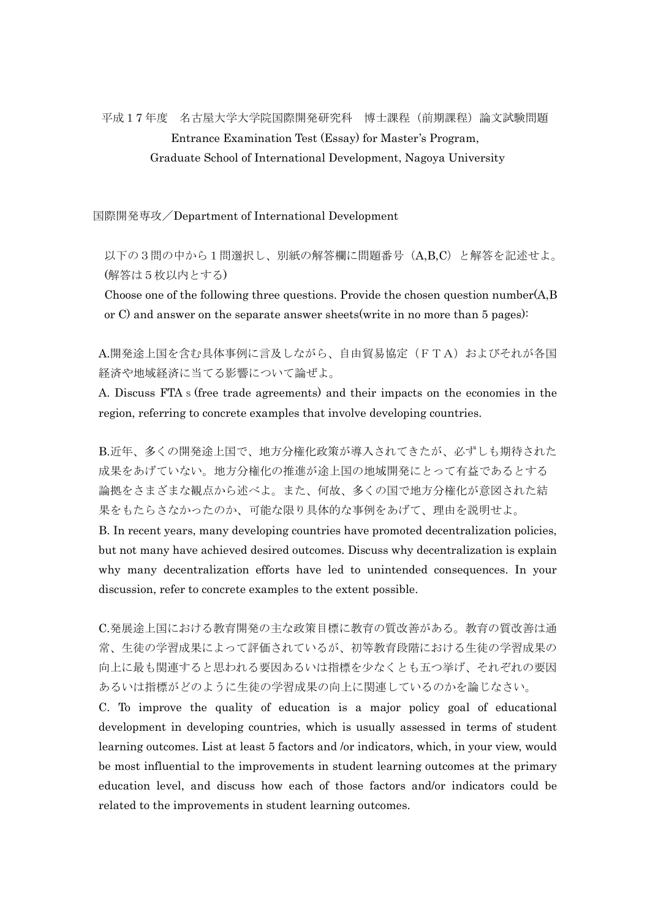## 平成17 年度 名古屋大学大学院国際開発研究科 博士課程(前期課程)論文試験問題 Entrance Examination Test (Essay) for Master's Program, Graduate School of International Development, Nagoya University

国際開発専攻/Department of International Development

 以下の3問の中から1問選択し、別紙の解答欄に問題番号(A,B,C)と解答を記述せよ。 (解答は5枚以内とする)

Choose one of the following three questions. Provide the chosen question number(A,B or C) and answer on the separate answer sheets(write in no more than 5 pages):

A.開発途上国を含む具体事例に言及しながら、自由貿易協定(FTA)およびそれが各国 経済や地域経済に当てる影響について論ぜよ。

A. Discuss FTAs(free trade agreements) and their impacts on the economies in the region, referring to concrete examples that involve developing countries.

 B.近年、多くの開発途上国で、地方分権化政策が導入されてきたが、必ずしも期待された 成果をあげていない。地方分権化の推進が途上国の地域開発にとって有益であるとする 論拠をさまざまな観点から述べよ。また、何故、多くの国で地方分権化が意図された結 果をもたらさなかったのか、可能な限り具体的な事例をあげて、理由を説明せよ。 B. In recent years, many developing countries have promoted decentralization policies, but not many have achieved desired outcomes. Discuss why decentralization is explain why many decentralization efforts have led to unintended consequences. In your

discussion, refer to concrete examples to the extent possible. C.発展途上国における教育開発の主な政策目標に教育の質改善がある。教育の質改善は通 常、生徒の学習成果によって評価されているが、初等教育段階における生徒の学習成果の

向上に最も関連すると思われる要因あるいは指標を少なくとも五つ挙げ、それぞれの要因 あるいは指標がどのように生徒の学習成果の向上に関連しているのかを論じなさい。

C. To improve the quality of education is a major policy goal of educational development in developing countries, which is usually assessed in terms of student learning outcomes. List at least 5 factors and /or indicators, which, in your view, would be most influential to the improvements in student learning outcomes at the primary education level, and discuss how each of those factors and/or indicators could be related to the improvements in student learning outcomes.